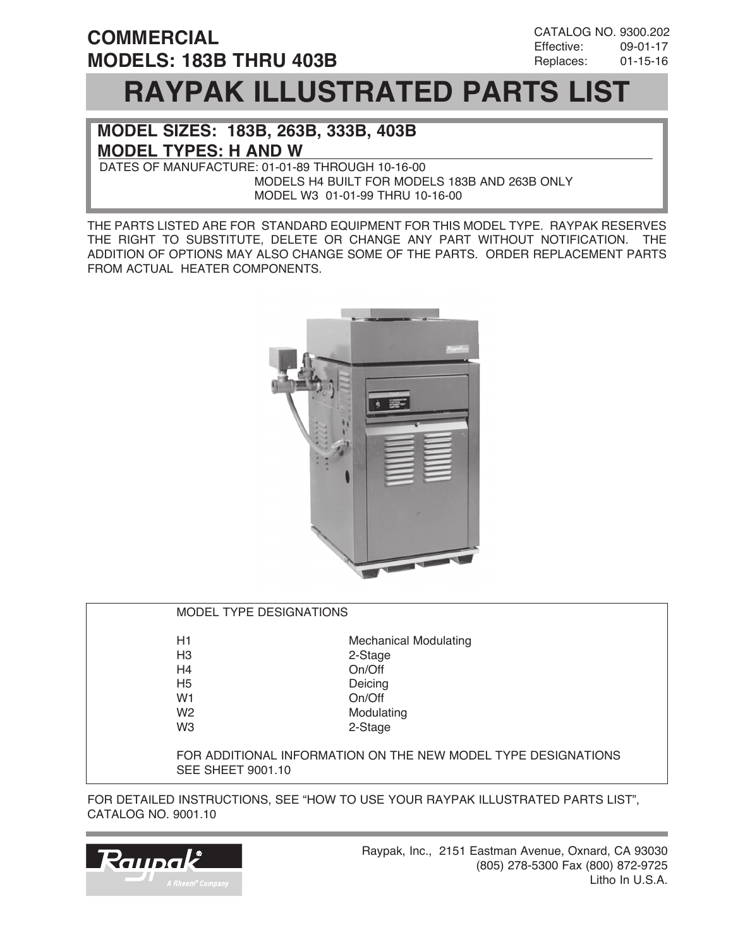## **COMMERCIAL MODELS: 183B THRU 403B**

CATALOG NO. 9300.202 Effective: 09-01-17 Replaces: 01-15-16

## **RAYPAK ILLUSTRATED PARTS LIST**

## **MODEL SIZES: 183B, 263B, 333B, 403B MODEL TYPES: H AND W**

 DATES OF MANUFACTURE: 01-01-89 THROUGH 10-16-00 MODELS H4 BUILT FOR MODELS 183B AND 263B ONLY MODEL W3 01-01-99 THRU 10-16-00

THE PARTS LISTED ARE FOR STANDARD EQUIPMENT FOR THIS MODEL TYPE. RAYPAK RESERVES THE RIGHT TO SUBSTITUTE, DELETE OR CHANGE ANY PART WITHOUT NOTIFICATION. THE ADDITION OF OPTIONS MAY ALSO CHANGE SOME OF THE PARTS. ORDER REPLACEMENT PARTS FROM ACTUAL HEATER COMPONENTS.



| <b>MODEL TYPE DESIGNATIONS</b> |                                                               |
|--------------------------------|---------------------------------------------------------------|
| H1                             | <b>Mechanical Modulating</b>                                  |
| H3                             | 2-Stage                                                       |
| H4                             | On/Off                                                        |
| H <sub>5</sub>                 | Deicing                                                       |
| W <sub>1</sub>                 | On/Off                                                        |
| W <sub>2</sub>                 | Modulating                                                    |
| W <sub>3</sub>                 | 2-Stage                                                       |
| <b>SEE SHEET 9001.10</b>       | FOR ADDITIONAL INFORMATION ON THE NEW MODEL TYPE DESIGNATIONS |

FOR DETAILED INSTRUCTIONS, SEE "HOW TO USE YOUR RAYPAK ILLUSTRATED PARTS LIST", CATALOG NO. 9001.10

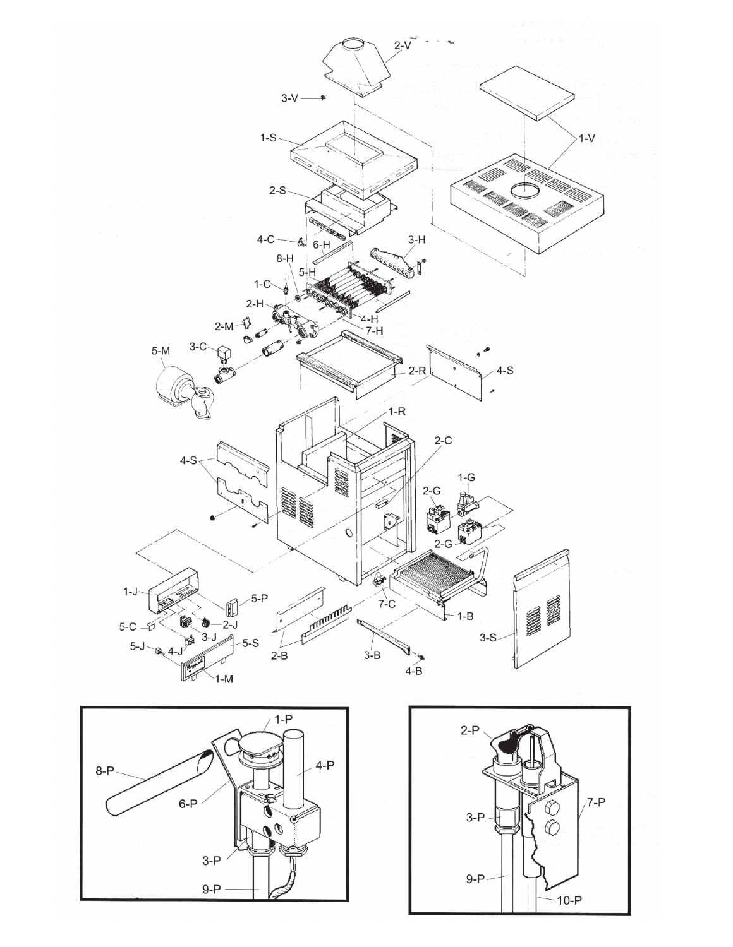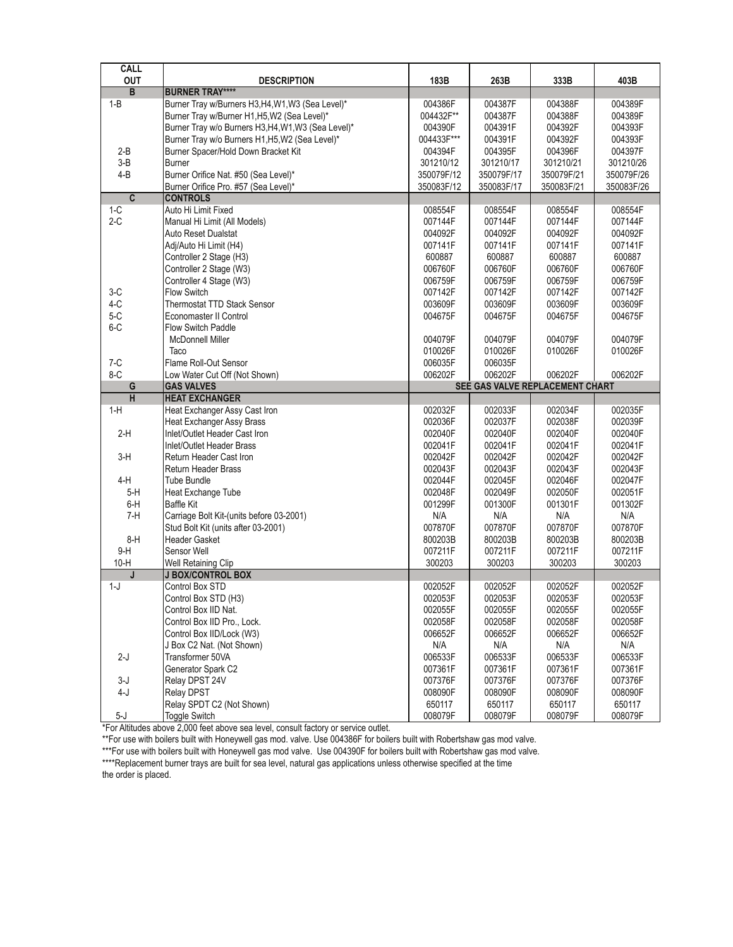| <b>CALL</b>               |                                                  |            |            |                                 |            |
|---------------------------|--------------------------------------------------|------------|------------|---------------------------------|------------|
| OUT                       | <b>DESCRIPTION</b>                               | 183B       | 263B       | 333B                            | 403B       |
| $\overline{B}$            | <b>BURNER TRAY****</b>                           |            |            |                                 |            |
| $1 - B$                   | Burner Tray w/Burners H3,H4,W1,W3 (Sea Level)*   | 004386F    | 004387F    | 004388F                         | 004389F    |
|                           | Burner Tray w/Burner H1, H5, W2 (Sea Level)*     | 004432F**  | 004387F    | 004388F                         | 004389F    |
|                           | Burner Tray w/o Burners H3,H4,W1,W3 (Sea Level)* | 004390F    | 004391F    | 004392F                         | 004393F    |
|                           | Burner Tray w/o Burners H1, H5, W2 (Sea Level)*  | 004433F*** | 004391F    | 004392F                         | 004393F    |
| $2-B$                     | Burner Spacer/Hold Down Bracket Kit              | 004394F    | 004395F    | 004396F                         | 004397F    |
| $3-B$                     | Burner                                           | 301210/12  | 301210/17  | 301210/21                       | 301210/26  |
| $4 - B$                   | Burner Orifice Nat. #50 (Sea Level)*             | 350079F/12 | 350079F/17 | 350079F/21                      | 350079F/26 |
|                           | Burner Orifice Pro. #57 (Sea Level)*             | 350083F/12 | 350083F/17 | 350083F/21                      | 350083F/26 |
| $\overline{\mathfrak{c}}$ | <b>CONTROLS</b>                                  |            |            |                                 |            |
| $1-C$                     | Auto Hi Limit Fixed                              | 008554F    | 008554F    | 008554F                         | 008554F    |
| $2-C$                     | Manual Hi Limit (All Models)                     | 007144F    | 007144F    | 007144F                         | 007144F    |
|                           | Auto Reset Dualstat                              | 004092F    | 004092F    | 004092F                         | 004092F    |
|                           | Adj/Auto Hi Limit (H4)                           | 007141F    | 007141F    | 007141F                         | 007141F    |
|                           | Controller 2 Stage (H3)                          | 600887     | 600887     | 600887                          | 600887     |
|                           | Controller 2 Stage (W3)                          | 006760F    | 006760F    | 006760F                         | 006760F    |
|                           | Controller 4 Stage (W3)                          | 006759F    | 006759F    | 006759F                         | 006759F    |
| $3-C$                     | Flow Switch                                      | 007142F    | 007142F    | 007142F                         | 007142F    |
| $4-C$                     | <b>Thermostat TTD Stack Sensor</b>               | 003609F    | 003609F    | 003609F                         | 003609F    |
| $5-C$                     | Economaster II Control                           | 004675F    | 004675F    | 004675F                         | 004675F    |
| $6-C$                     | <b>Flow Switch Paddle</b>                        |            |            |                                 |            |
|                           | <b>McDonnell Miller</b>                          | 004079F    | 004079F    | 004079F                         | 004079F    |
|                           | Taco                                             | 010026F    | 010026F    | 010026F                         | 010026F    |
| $7-C$                     | Flame Roll-Out Sensor                            | 006035F    | 006035F    |                                 |            |
| $8-C$                     | Low Water Cut Off (Not Shown)                    | 006202F    | 006202F    | 006202F                         | 006202F    |
| G                         | <b>GAS VALVES</b>                                |            |            | SEE GAS VALVE REPLACEMENT CHART |            |
| $\overline{H}$            | <b>HEAT EXCHANGER</b>                            |            |            |                                 |            |
| $1-H$                     | Heat Exchanger Assy Cast Iron                    | 002032F    | 002033F    | 002034F                         | 002035F    |
|                           | Heat Exchanger Assy Brass                        | 002036F    | 002037F    | 002038F                         | 002039F    |
| $2-H$                     | Inlet/Outlet Header Cast Iron                    | 002040F    | 002040F    | 002040F                         | 002040F    |
|                           | Inlet/Outlet Header Brass                        | 002041F    | 002041F    | 002041F                         | 002041F    |
| $3-H$                     | Return Header Cast Iron                          | 002042F    | 002042F    | 002042F                         | 002042F    |
|                           | <b>Return Header Brass</b>                       | 002043F    | 002043F    | 002043F                         | 002043F    |
| 4-H                       | <b>Tube Bundle</b>                               | 002044F    | 002045F    | 002046F                         | 002047F    |
| $5-H$                     | Heat Exchange Tube                               | 002048F    | 002049F    | 002050F                         | 002051F    |
| $6-H$                     | Baffle Kit                                       | 001299F    | 001300F    | 001301F                         | 001302F    |
| $7-H$                     | Carriage Bolt Kit-(units before 03-2001)         | N/A        | N/A        | N/A                             | N/A        |
|                           | Stud Bolt Kit (units after 03-2001)              | 007870F    | 007870F    | 007870F                         | 007870F    |
| $8-H$                     | <b>Header Gasket</b>                             | 800203B    | 800203B    | 800203B                         | 800203B    |
| $9-H$                     | Sensor Well                                      | 007211F    | 007211F    | 007211F                         | 007211F    |
| $10-H$                    | Well Retaining Clip                              | 300203     | 300203     | 300203                          | 300203     |
| J                         | <b>J BOX/CONTROL BOX</b>                         |            |            |                                 |            |
| $1-J$                     | Control Box STD                                  | 002052F    | 002052F    | 002052F                         | 002052F    |
|                           | Control Box STD (H3)                             | 002053F    | 002053F    | 002053F                         | 002053F    |
|                           | Control Box IID Nat.                             | 002055F    | 002055F    | 002055F                         | 002055F    |
|                           | Control Box IID Pro., Lock.                      | 002058F    | 002058F    | 002058F                         | 002058F    |
|                           | Control Box IID/Lock (W3)                        | 006652F    | 006652F    | 006652F                         | 006652F    |
|                           | J Box C2 Nat. (Not Shown)                        | N/A        | N/A        | N/A                             | N/A        |
| $2-J$                     | Transformer 50VA                                 | 006533F    | 006533F    | 006533F                         | 006533F    |
|                           | Generator Spark C2                               | 007361F    | 007361F    | 007361F                         | 007361F    |
| $3-J$                     | Relay DPST 24V                                   | 007376F    | 007376F    | 007376F                         | 007376F    |
| $4-J$                     | Relay DPST                                       | 008090F    | 008090F    | 008090F                         | 008090F    |
|                           | Relay SPDT C2 (Not Shown)                        | 650117     | 650117     | 650117                          | 650117     |
| $5-J$                     | <b>Togale Switch</b>                             | 008079F    | 008079F    | 008079F                         | 008079F    |

\*For Altitudes above 2,000 feet above sea level, consult factory or service outlet.

\*\*For use with boilers built with Honeywell gas mod. valve. Use 004386F for boilers built with Robertshaw gas mod valve.

\*\*\*For use with boilers built with Honeywell gas mod valve. Use 004390F for boilers built with Robertshaw gas mod valve.

\*\*\*\*Replacement burner trays are built for sea level, natural gas applications unless otherwise specified at the time the order is placed.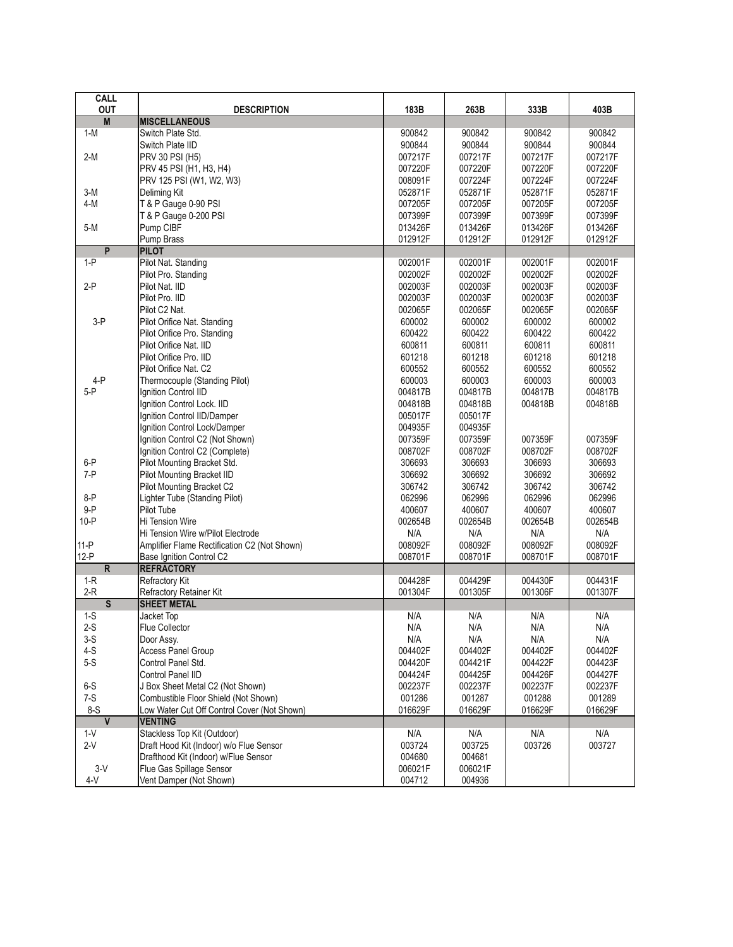| CALL                             |                                                               |                    |         |         |         |
|----------------------------------|---------------------------------------------------------------|--------------------|---------|---------|---------|
| OUT                              | <b>DESCRIPTION</b>                                            | 183B               | 263B    | 333B    | 403B    |
| $\overline{M}$                   | <b>MISCELLANEOUS</b>                                          |                    |         |         |         |
| $1-M$                            | Switch Plate Std.                                             | 900842             | 900842  | 900842  | 900842  |
|                                  | Switch Plate IID                                              | 900844             | 900844  | 900844  | 900844  |
| $2-M$                            | PRV 30 PSI (H5)                                               | 007217F            | 007217F | 007217F | 007217F |
|                                  | PRV 45 PSI (H1, H3, H4)                                       | 007220F            | 007220F | 007220F | 007220F |
|                                  | PRV 125 PSI (W1, W2, W3)                                      | 008091F            | 007224F | 007224F | 007224F |
| $3-M$                            | Deliming Kit                                                  | 052871F            | 052871F | 052871F | 052871F |
| $4-M$                            | T & P Gauge 0-90 PSI                                          | 007205F            | 007205F | 007205F | 007205F |
|                                  | T & P Gauge 0-200 PSI                                         | 007399F            | 007399F | 007399F | 007399F |
| $5-M$                            | Pump CIBF                                                     | 013426F            | 013426F | 013426F | 013426F |
|                                  | Pump Brass                                                    | 012912F            | 012912F | 012912F | 012912F |
| P                                | <b>PILOT</b>                                                  |                    |         |         |         |
| $1-P$                            | Pilot Nat. Standing                                           | 002001F            | 002001F | 002001F | 002001F |
|                                  | Pilot Pro. Standing                                           | 002002F            | 002002F | 002002F | 002002F |
| $2-P$                            | Pilot Nat. IID                                                | 002003F            | 002003F | 002003F | 002003F |
|                                  | Pilot Pro. IID                                                | 002003F            | 002003F | 002003F | 002003F |
|                                  | Pilot C2 Nat.                                                 | 002065F            | 002065F | 002065F | 002065F |
| $3-P$                            | Pilot Orifice Nat. Standing                                   | 600002             | 600002  | 600002  | 600002  |
|                                  | Pilot Orifice Pro. Standing                                   | 600422             | 600422  | 600422  | 600422  |
|                                  | Pilot Orifice Nat. IID                                        | 600811             | 600811  | 600811  | 600811  |
|                                  | Pilot Orifice Pro. IID                                        | 601218             | 601218  | 601218  | 601218  |
|                                  | Pilot Orifice Nat. C2                                         | 600552             | 600552  | 600552  | 600552  |
| $4-P$                            | Thermocouple (Standing Pilot)                                 | 600003             | 600003  | 600003  | 600003  |
| $5-P$                            | Ignition Control IID                                          | 004817B            | 004817B | 004817B | 004817B |
|                                  | Ignition Control Lock. IID                                    | 004818B            | 004818B | 004818B | 004818B |
|                                  | Ignition Control IID/Damper                                   | 005017F            | 005017F |         |         |
|                                  | Ignition Control Lock/Damper                                  | 004935F            | 004935F |         |         |
|                                  | Ignition Control C2 (Not Shown)                               | 007359F            | 007359F | 007359F | 007359F |
|                                  | Ignition Control C2 (Complete)                                | 008702F            | 008702F | 008702F | 008702F |
| $6-P$                            | Pilot Mounting Bracket Std.                                   | 306693             | 306693  | 306693  | 306693  |
| $7 - P$                          | Pilot Mounting Bracket IID                                    | 306692             | 306692  | 306692  | 306692  |
|                                  |                                                               | 306742             | 306742  | 306742  | 306742  |
| $8-P$                            | Pilot Mounting Bracket C2                                     | 062996             | 062996  | 062996  | 062996  |
| $9 - P$                          | Lighter Tube (Standing Pilot)<br>Pilot Tube                   |                    |         |         |         |
| $10-P$                           |                                                               | 400607             | 400607  | 400607  | 400607  |
|                                  | Hi Tension Wire                                               | 002654B            | 002654B | 002654B | 002654B |
|                                  | Hi Tension Wire w/Pilot Electrode                             | N/A                | N/A     | N/A     | N/A     |
| 11-P                             | Amplifier Flame Rectification C2 (Not Shown)                  | 008092F            | 008092F | 008092F | 008092F |
| 12-P<br>$\overline{R}$           | Base Ignition Control C2<br><b>REFRACTORY</b>                 | 008701F            | 008701F | 008701F | 008701F |
|                                  |                                                               |                    |         |         |         |
| $1-R$                            | Refractory Kit                                                | 004428F<br>001304F | 004429F | 004430F | 004431F |
| $2-R$<br>$\overline{\mathbf{s}}$ | Refractory Retainer Kit<br><b>SHEET METAL</b>                 |                    | 001305F | 001306F | 001307F |
| $1-S$                            | Jacket Top                                                    | N/A                | N/A     | N/A     | N/A     |
| $2-S$                            | Flue Collector                                                | N/A                | N/A     | N/A     | N/A     |
|                                  |                                                               |                    |         |         |         |
| $3-S$<br>$4-S$                   | Door Assy.                                                    | N/A                | N/A     | N/A     | N/A     |
|                                  | Access Panel Group                                            | 004402F            | 004402F | 004402F | 004402F |
| $5-S$                            | Control Panel Std.                                            | 004420F            | 004421F | 004422F | 004423F |
|                                  | Control Panel IID                                             | 004424F            | 004425F | 004426F | 004427F |
| $6-S$                            | J Box Sheet Metal C2 (Not Shown)                              | 002237F            | 002237F | 002237F | 002237F |
| $7-S$                            | Combustible Floor Shield (Not Shown)                          | 001286             | 001287  | 001288  | 001289  |
| $8-S$<br>$\overline{\mathsf{v}}$ | Low Water Cut Off Control Cover (Not Shown)<br><b>VENTING</b> | 016629F            | 016629F | 016629F | 016629F |
|                                  | Stackless Top Kit (Outdoor)                                   |                    |         |         |         |
| $1-V$                            |                                                               | N/A                | N/A     | N/A     | N/A     |
| $2-V$                            | Draft Hood Kit (Indoor) w/o Flue Sensor                       | 003724             | 003725  | 003726  | 003727  |
|                                  | Drafthood Kit (Indoor) w/Flue Sensor                          | 004680             | 004681  |         |         |
| $3-V$                            | Flue Gas Spillage Sensor                                      | 006021F            | 006021F |         |         |
| $4-V$                            | Vent Damper (Not Shown)                                       | 004712             | 004936  |         |         |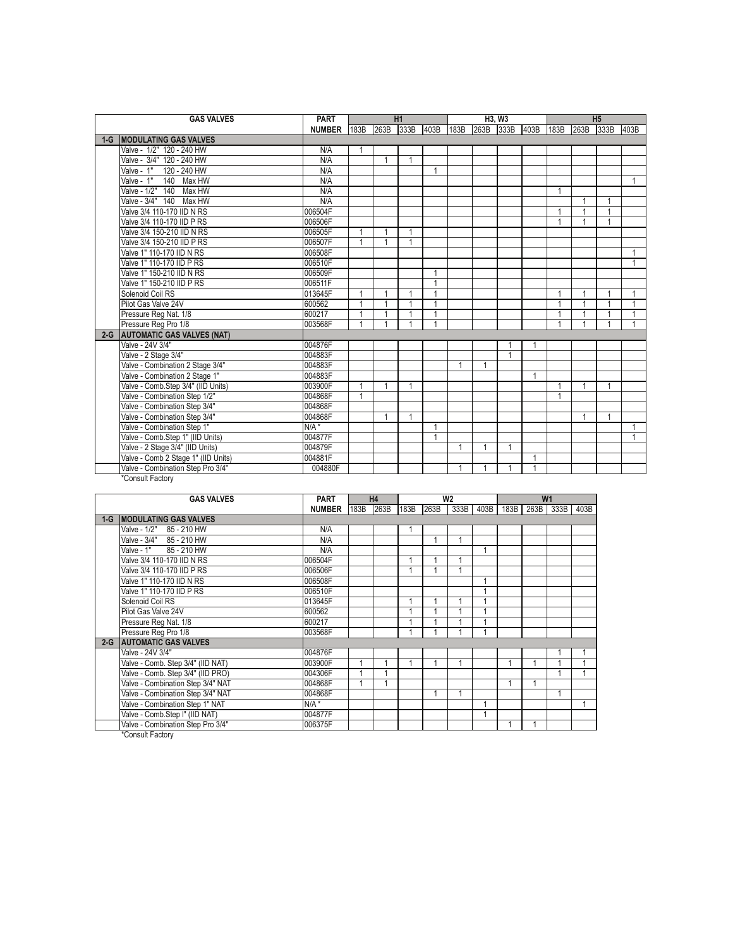| <b>GAS VALVES</b> |                                     | <b>PART</b>        | H1             |           |   |      | <b>H3. W3</b> |   |                |      | H <sub>5</sub> |             |      |                |
|-------------------|-------------------------------------|--------------------|----------------|-----------|---|------|---------------|---|----------------|------|----------------|-------------|------|----------------|
|                   |                                     | <b>NUMBER</b>      | 183B           | 263B 333B |   | 403B | 183B 263B     |   | 333B           | 403B | 183B           | 263B        | 333B | 403B           |
| $1-G$             | <b>MODULATING GAS VALVES</b>        |                    |                |           |   |      |               |   |                |      |                |             |      |                |
|                   | Valve - 1/2" 120 - 240 HW           | N/A                |                |           |   |      |               |   |                |      |                |             |      |                |
|                   | Valve - 3/4" 120 - 240 HW           | N/A                |                | 1         |   |      |               |   |                |      |                |             |      |                |
|                   | Valve - 1"<br>120 - 240 HW          | N/A                |                |           |   | 1    |               |   |                |      |                |             |      |                |
|                   | Valve - 1"<br>140 Max HW            | N/A                |                |           |   |      |               |   |                |      |                |             |      |                |
|                   | Valve - 1/2" 140 Max HW             | N/A                |                |           |   |      |               |   |                |      | 1              |             |      |                |
|                   | Valve - 3/4" 140 Max HW             | N/A                |                |           |   |      |               |   |                |      |                |             |      |                |
|                   | Valve 3/4 110-170 IID N RS          | 006504F            |                |           |   |      |               |   |                |      | 1              | 1           | 1    |                |
|                   | Valve 3/4 110-170 IID P RS          | 006506F            |                |           |   |      |               |   |                |      | 1              | 1           | 1    |                |
|                   | Valve 3/4 150-210 IID N RS          | 006505F            | $\mathbf{1}$   | 1         | 1 |      |               |   |                |      |                |             |      |                |
|                   | Valve 3/4 150-210 IID P RS          | 006507F            | 1              | 1         | 1 |      |               |   |                |      |                |             |      |                |
|                   | Valve 1" 110-170 IID N RS           | 006508F            |                |           |   |      |               |   |                |      |                |             |      |                |
|                   | Valve 1" 110-170 IID P RS           | 006510F            |                |           |   |      |               |   |                |      |                |             |      | $\overline{1}$ |
|                   | Valve 1" 150-210 IID N RS           | 006509F            |                |           |   | 1    |               |   |                |      |                |             |      |                |
|                   | Valve 1" 150-210 IID P RS           | 006511F            |                |           |   | 1    |               |   |                |      |                |             |      |                |
|                   | Solenoid Coil RS                    | 013645F            | 1              | 1         |   | 1    |               |   |                |      |                |             |      |                |
|                   | Pilot Gas Valve 24V                 | 600562             | $\overline{1}$ |           |   | 1    |               |   |                |      |                |             |      | 1              |
|                   | Pressure Reg Nat. 1/8               | 600217             | 1              |           |   |      |               |   |                |      |                |             |      |                |
|                   | Pressure Reg Pro 1/8                | 003568F            | 1              |           |   | 1    |               |   |                |      | 1              |             |      |                |
|                   | 2-G   AUTOMATIC GAS VALVES (NAT)    |                    |                |           |   |      |               |   |                |      |                |             |      |                |
|                   | Valve - 24V 3/4"                    | 004876F            |                |           |   |      |               |   |                |      |                |             |      |                |
|                   | Valve - 2 Stage 3/4"                | 004883F            |                |           |   |      |               |   | 1              |      |                |             |      |                |
|                   | Valve - Combination 2 Stage 3/4"    | 004883F            |                |           |   |      | 1             | 1 |                |      |                |             |      |                |
|                   | Valve - Combination 2 Stage 1"      | 004883F            |                |           |   |      |               |   |                | 1    |                |             |      |                |
|                   | Valve - Comb.Step 3/4" (IID Units)  | 003900F            | 1              | 1         |   |      |               |   |                |      |                |             |      |                |
|                   | Valve - Combination Step 1/2"       | 004868F            | 1              |           |   |      |               |   |                |      | 1              |             |      |                |
|                   | Valve - Combination Step 3/4"       | 004868F            |                |           |   |      |               |   |                |      |                |             |      |                |
|                   | Valve - Combination Step 3/4"       | 004868F            |                | 1         |   |      |               |   |                |      |                | $\mathbf 1$ | 1    |                |
|                   | Valve - Combination Step 1"         | $N/A$ <sup>*</sup> |                |           |   | 1    |               |   |                |      |                |             |      | 1              |
|                   | Valve - Comb.Step 1" (IID Units)    | 004877F            |                |           |   | 1    |               |   |                |      |                |             |      | $\overline{1}$ |
|                   | Valve - 2 Stage 3/4" (IID Units)    | 004879F            |                |           |   |      | 1             | 1 | $\overline{1}$ |      |                |             |      |                |
|                   | Valve - Comb 2 Stage 1" (IID Units) | 004881F            |                |           |   |      |               |   |                | 1    |                |             |      |                |
|                   | Valve - Combination Step Pro 3/4"   | 004880F            |                |           |   |      |               |   | 1              |      |                |             |      |                |

\*Consult Factory

| <b>GAS VALVES</b> |                                   | <b>PART</b>        |      | H <sub>4</sub> | W <sub>2</sub> |      |      |      | W <sub>1</sub> |      |      |      |
|-------------------|-----------------------------------|--------------------|------|----------------|----------------|------|------|------|----------------|------|------|------|
|                   |                                   | <b>NUMBER</b>      | 183B | 263B           | 183B           | 263B | 333B | 403B | 183B           | 263B | 333B | 403B |
| $1-G$             | <b>MODULATING GAS VALVES</b>      |                    |      |                |                |      |      |      |                |      |      |      |
|                   | Valve - 1/2" 85 - 210 HW          | N/A                |      |                |                |      |      |      |                |      |      |      |
|                   | Valve - 3/4" 85 - 210 HW          | N/A                |      |                |                |      | 1    |      |                |      |      |      |
|                   | Valve - $1"$<br>85 - 210 HW       | N/A                |      |                |                |      |      |      |                |      |      |      |
|                   | Valve 3/4 110-170 IID N RS        | 006504F            |      |                |                |      |      |      |                |      |      |      |
|                   | Valve 3/4 110-170 IID P RS        | 006506F            |      |                |                |      | 4    |      |                |      |      |      |
|                   | Valve 1" 110-170 IID N RS         | 006508F            |      |                |                |      |      |      |                |      |      |      |
|                   | Valve 1" 110-170 IID P RS         | 006510F            |      |                |                |      |      |      |                |      |      |      |
|                   | Solenoid Coil RS                  | 013645F            |      |                |                |      |      |      |                |      |      |      |
|                   | Pilot Gas Valve 24V               | 600562             |      |                |                |      |      |      |                |      |      |      |
|                   | Pressure Reg Nat. 1/8             | 600217             |      |                |                |      | 4    |      |                |      |      |      |
|                   | Pressure Reg Pro 1/8              | 003568F            |      |                |                |      |      |      |                |      |      |      |
| $2-G$             | <b>AUTOMATIC GAS VALVES</b>       |                    |      |                |                |      |      |      |                |      |      |      |
|                   | Valve - 24V 3/4"                  | 004876F            |      |                |                |      |      |      |                |      |      |      |
|                   | Valve - Comb. Step 3/4" (IID NAT) | 003900F            |      |                |                |      | 1    |      |                |      |      |      |
|                   | Valve - Comb. Step 3/4" (IID PRO) | 004306F            |      |                |                |      |      |      |                |      |      |      |
|                   | Valve - Combination Step 3/4" NAT | 004868F            |      |                |                |      |      |      |                |      |      |      |
|                   | Valve - Combination Step 3/4" NAT | 004868F            |      |                |                |      |      |      |                |      |      |      |
|                   | Valve - Combination Step 1" NAT   | $N/A$ <sup>*</sup> |      |                |                |      |      |      |                |      |      |      |
|                   | Valve - Comb.Step I" (IID NAT)    | 004877F            |      |                |                |      |      |      |                |      |      |      |
|                   | Valve - Combination Step Pro 3/4" | 006375F            |      |                |                |      |      |      |                |      |      |      |

\*Consult Factory